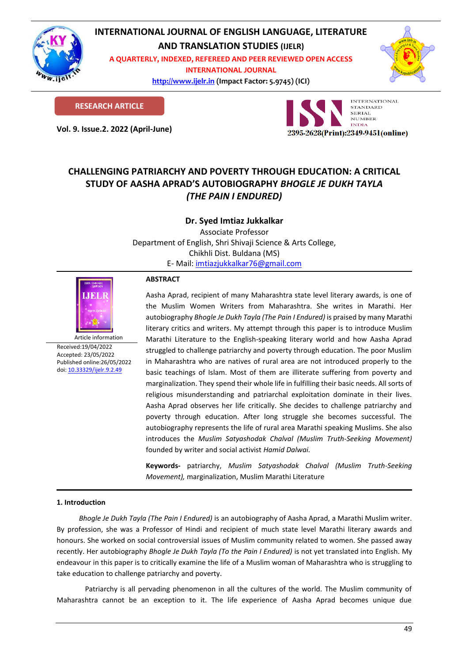

# **INTERNATIONAL JOURNAL OF ENGLISH LANGUAGE, LITERATURE**

**AND TRANSLATION STUDIES (IJELR)**

**A QUARTERLY, INDEXED, REFEREED AND PEER REVIEWED OPEN ACCESS INTERNATIONAL JOURNAL**

> **[http://www.ijelr.in](http://www.ijelr.in/) (Impact Factor: 5.9745) (ICI) KY PUBLICATIONS**



**RESEARCH ARTICLE**

**Vol. 9. Issue.2. 2022 (April-June) ARTICLE**



# **CHALLENGING PATRIARCHY AND POVERTY THROUGH EDUCATION: A CRITICAL STUDY OF AASHA APRAD'S AUTOBIOGRAPHY** *BHOGLE JE DUKH TAYLA (THE PAIN I ENDURED)*

**Dr. Syed Imtiaz Jukkalkar**

Associate Professor Department of English, Shri Shivaji Science & Arts College, Chikhli Dist. Buldana (MS) E- Mail: [imtiazjukkalkar76@gmail.com](mailto:imtiazjukkalkar76@gmail.com)



Article information Received:19/04/2022 Accepted: 23/05/2022 Published online:26/05/2022 [doi: 10.33329/ijelr.9.2.4](http://www.ijelr.in/)9

## **ABSTRACT**

Aasha Aprad, recipient of many Maharashtra state level literary awards, is one of the Muslim Women Writers from Maharashtra. She writes in Marathi. Her autobiography *Bhogle Je Dukh Tayla (The Pain I Endured)* is praised by many Marathi literary critics and writers. My attempt through this paper is to introduce Muslim Marathi Literature to the English-speaking literary world and how Aasha Aprad struggled to challenge patriarchy and poverty through education. The poor Muslim in Maharashtra who are natives of rural area are not introduced properly to the basic teachings of Islam. Most of them are illiterate suffering from poverty and marginalization. They spend their whole life in fulfilling their basic needs. All sorts of religious misunderstanding and patriarchal exploitation dominate in their lives. Aasha Aprad observes her life critically. She decides to challenge patriarchy and poverty through education. After long struggle she becomes successful. The autobiography represents the life of rural area Marathi speaking Muslims. She also introduces the *Muslim Satyashodak Chalval (Muslim Truth-Seeking Movement)* founded by writer and social activist *Hamid Dalwai.*

**Keywords-** patriarchy, *Muslim Satyashodak Chalval (Muslim Truth-Seeking Movement),* marginalization, Muslim Marathi Literature

## **1. Introduction**

*Bhogle Je Dukh Tayla (The Pain I Endured)* is an autobiography of Aasha Aprad, a Marathi Muslim writer. By profession, she was a Professor of Hindi and recipient of much state level Marathi literary awards and honours. She worked on social controversial issues of Muslim community related to women. She passed away recently. Her autobiography *Bhogle Je Dukh Tayla (To the Pain I Endured)* is not yet translated into English. My endeavour in this paper is to critically examine the life of a Muslim woman of Maharashtra who is struggling to take education to challenge patriarchy and poverty.

Patriarchy is all pervading phenomenon in all the cultures of the world. The Muslim community of Maharashtra cannot be an exception to it. The life experience of Aasha Aprad becomes unique due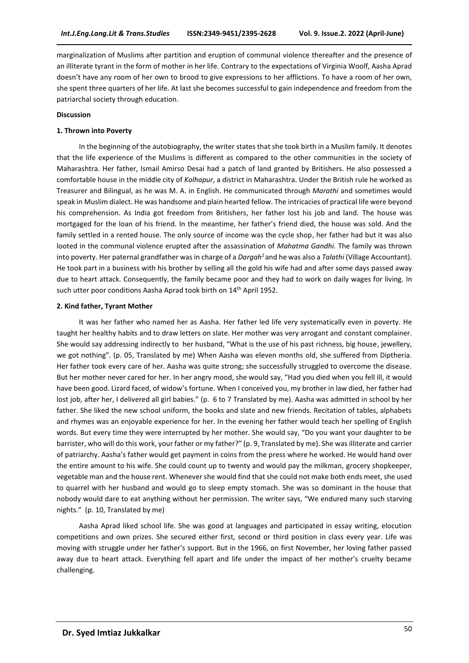marginalization of Muslims after partition and eruption of communal violence thereafter and the presence of an illiterate tyrant in the form of mother in her life. Contrary to the expectations of Virginia Woolf, Aasha Aprad doesn't have any room of her own to brood to give expressions to her afflictions. To have a room of her own, she spent three quarters of her life. At last she becomes successful to gain independence and freedom from the patriarchal society through education.

#### **Discussion**

#### **1. Thrown into Poverty**

In the beginning of the autobiography, the writer states that she took birth in a Muslim family. It denotes that the life experience of the Muslims is different as compared to the other communities in the society of Maharashtra. Her father, Ismail Amirso Desai had a patch of land granted by Britishers. He also possessed a comfortable house in the middle city of *Kolhapur*, a district in Maharashtra. Under the British rule he worked as Treasurer and Bilingual, as he was M. A. in English. He communicated through *Marathi* and sometimes would speak in Muslim dialect. He was handsome and plain hearted fellow. The intricacies of practical life were beyond his comprehension. As India got freedom from Britishers, her father lost his job and land. The house was mortgaged for the loan of his friend. In the meantime, her father's friend died, the house was sold. And the family settled in a rented house. The only source of income was the cycle shop, her father had but it was also looted in the communal violence erupted after the assassination of *Mahatma Gandhi.* The family was thrown into poverty. Her paternal grandfather was in charge of a *Dargah<sup>1</sup>*and he was also a *Talathi* (Village Accountant). He took part in a business with his brother by selling all the gold his wife had and after some days passed away due to heart attack. Consequently, the family became poor and they had to work on daily wages for living. In such utter poor conditions Aasha Aprad took birth on 14<sup>th</sup> April 1952.

#### **2. Kind father, Tyrant Mother**

It was her father who named her as Aasha. Her father led life very systematically even in poverty. He taught her healthy habits and to draw letters on slate. Her mother was very arrogant and constant complainer. She would say addressing indirectly to her husband, "What is the use of his past richness, big house, jewellery, we got nothing". (p. 05, Translated by me) When Aasha was eleven months old, she suffered from Diptheria. Her father took every care of her. Aasha was quite strong; she successfully struggled to overcome the disease. But her mother never cared for her. In her angry mood, she would say, "Had you died when you fell ill, it would have been good. Lizard faced, of widow's fortune. When I conceived you, my brother in law died, her father had lost job, after her, I delivered all girl babies." (p. 6 to 7 Translated by me). Aasha was admitted in school by her father. She liked the new school uniform, the books and slate and new friends. Recitation of tables, alphabets and rhymes was an enjoyable experience for her. In the evening her father would teach her spelling of English words. But every time they were interrupted by her mother. She would say, "Do you want your daughter to be barrister, who will do this work, your father or my father?" (p. 9, Translated by me). She was illiterate and carrier of patriarchy. Aasha's father would get payment in coins from the press where he worked. He would hand over the entire amount to his wife. She could count up to twenty and would pay the milkman, grocery shopkeeper, vegetable man and the house rent. Whenever she would find that she could not make both ends meet, she used to quarrel with her husband and would go to sleep empty stomach. She was so dominant in the house that nobody would dare to eat anything without her permission. The writer says, "We endured many such starving nights." (p. 10, Translated by me)

Aasha Aprad liked school life. She was good at languages and participated in essay writing, elocution competitions and own prizes. She secured either first, second or third position in class every year. Life was moving with struggle under her father's support. But in the 1966, on first November, her loving father passed away due to heart attack. Everything fell apart and life under the impact of her mother's cruelty became challenging.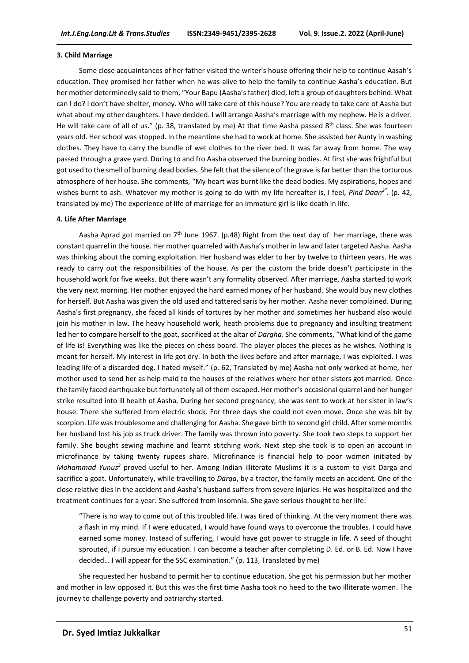#### **3. Child Marriage**

Some close acquaintances of her father visited the writer's house offering their help to continue Aasah's education. They promised her father when he was alive to help the family to continue Aasha's education. But her mother determinedly said to them, "Your Bapu (Aasha's father) died, left a group of daughters behind. What can I do? I don't have shelter, money. Who will take care of this house? You are ready to take care of Aasha but what about my other daughters. I have decided. I will arrange Aasha's marriage with my nephew. He is a driver. He will take care of all of us." (p. 38, translated by me) At that time Aasha passed  $8^{th}$  class. She was fourteen years old. Her school was stopped. In the meantime she had to work at home. She assisted her Aunty in washing clothes. They have to carry the bundle of wet clothes to the river bed. It was far away from home. The way passed through a grave yard. During to and fro Aasha observed the burning bodies. At first she was frightful but got used to the smell of burning dead bodies. She felt that the silence of the grave is far better than the torturous atmosphere of her house. She comments, "My heart was burnt like the dead bodies. My aspirations, hopes and wishes burnt to ash. Whatever my mother is going to do with my life hereafter is, I feel, *Pind Daan<sup>2</sup>"* . (p. 42, translated by me) The experience of life of marriage for an immature girl is like death in life.

#### **4. Life After Marriage**

Aasha Aprad got married on  $7<sup>th</sup>$  June 1967. (p.48) Right from the next day of her marriage, there was constant quarrel in the house. Her mother quarreled with Aasha's mother in law and later targeted Aasha. Aasha was thinking about the coming exploitation. Her husband was elder to her by twelve to thirteen years. He was ready to carry out the responsibilities of the house. As per the custom the bride doesn't participate in the household work for five weeks. But there wasn't any formality observed. After marriage, Aasha started to work the very next morning. Her mother enjoyed the hard earned money of her husband. She would buy new clothes for herself. But Aasha was given the old used and tattered saris by her mother. Aasha never complained. During Aasha's first pregnancy, she faced all kinds of tortures by her mother and sometimes her husband also would join his mother in law. The heavy household work, heath problems due to pregnancy and insulting treatment led her to compare herself to the goat, sacrificed at the altar of *Dargha*. She comments, "What kind of the game of life is! Everything was like the pieces on chess board. The player places the pieces as he wishes. Nothing is meant for herself. My interest in life got dry. In both the lives before and after marriage, I was exploited. I was leading life of a discarded dog. I hated myself." (p. 62, Translated by me) Aasha not only worked at home, her mother used to send her as help maid to the houses of the relatives where her other sisters got married. Once the family faced earthquake but fortunately all of them escaped. Her mother's occasional quarrel and her hunger strike resulted into ill health of Aasha. During her second pregnancy, she was sent to work at her sister in law's house. There she suffered from electric shock. For three days she could not even move. Once she was bit by scorpion. Life was troublesome and challenging for Aasha. She gave birth to second girl child. After some months her husband lost his job as truck driver. The family was thrown into poverty. She took two steps to support her family. She bought sewing machine and learnt stitching work. Next step she took is to open an account in microfinance by taking twenty rupees share. Microfinance is financial help to poor women initiated by Mohammad Yunus<sup>3</sup> proved useful to her. Among Indian illiterate Muslims it is a custom to visit Darga and sacrifice a goat. Unfortunately, while travelling to *Darga*, by a tractor, the family meets an accident. One of the close relative dies in the accident and Aasha's husband suffers from severe injuries. He was hospitalized and the treatment continues for a year. She suffered from insomnia. She gave serious thought to her life:

"There is no way to come out of this troubled life. I was tired of thinking. At the very moment there was a flash in my mind. If I were educated, I would have found ways to overcome the troubles. I could have earned some money. Instead of suffering, I would have got power to struggle in life. A seed of thought sprouted, if I pursue my education. I can become a teacher after completing D. Ed. or B. Ed. Now I have decided… I will appear for the SSC examination." (p. 113, Translated by me)

She requested her husband to permit her to continue education. She got his permission but her mother and mother in law opposed it. But this was the first time Aasha took no heed to the two illiterate women. The journey to challenge poverty and patriarchy started.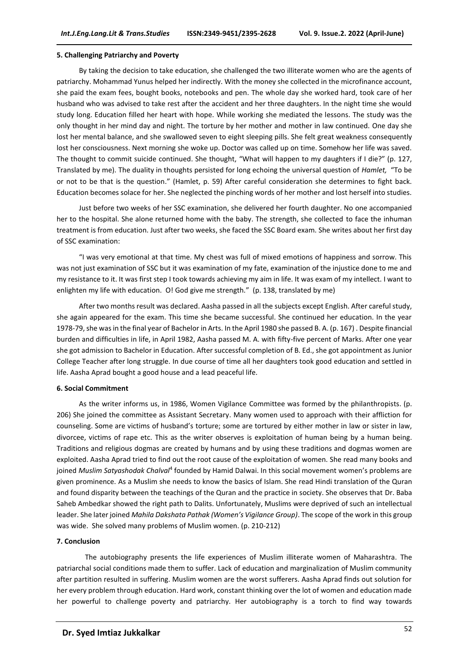#### **5. Challenging Patriarchy and Poverty**

By taking the decision to take education, she challenged the two illiterate women who are the agents of patriarchy. Mohammad Yunus helped her indirectly. With the money she collected in the microfinance account, she paid the exam fees, bought books, notebooks and pen. The whole day she worked hard, took care of her husband who was advised to take rest after the accident and her three daughters. In the night time she would study long. Education filled her heart with hope. While working she mediated the lessons. The study was the only thought in her mind day and night. The torture by her mother and mother in law continued. One day she lost her mental balance, and she swallowed seven to eight sleeping pills. She felt great weakness consequently lost her consciousness. Next morning she woke up. Doctor was called up on time. Somehow her life was saved. The thought to commit suicide continued. She thought, "What will happen to my daughters if I die?" (p. 127, Translated by me). The duality in thoughts persisted for long echoing the universal question of *Hamlet,* "To be or not to be that is the question." (Hamlet, p. 59) After careful consideration she determines to fight back. Education becomes solace for her. She neglected the pinching words of her mother and lost herself into studies.

Just before two weeks of her SSC examination, she delivered her fourth daughter. No one accompanied her to the hospital. She alone returned home with the baby. The strength, she collected to face the inhuman treatment is from education. Just after two weeks, she faced the SSC Board exam. She writes about her first day of SSC examination:

"I was very emotional at that time. My chest was full of mixed emotions of happiness and sorrow. This was not just examination of SSC but it was examination of my fate, examination of the injustice done to me and my resistance to it. It was first step I took towards achieving my aim in life. It was exam of my intellect. I want to enlighten my life with education. O! God give me strength." (p. 138, translated by me)

After two months result was declared. Aasha passed in all the subjects except English. After careful study, she again appeared for the exam. This time she became successful. She continued her education. In the year 1978-79, she was in the final year of Bachelor in Arts. In the April 1980 she passed B. A. (p. 167) . Despite financial burden and difficulties in life, in April 1982, Aasha passed M. A. with fifty-five percent of Marks. After one year she got admission to Bachelor in Education. After successful completion of B. Ed., she got appointment as Junior College Teacher after long struggle. In due course of time all her daughters took good education and settled in life. Aasha Aprad bought a good house and a lead peaceful life.

#### **6. Social Commitment**

As the writer informs us, in 1986, Women Vigilance Committee was formed by the philanthropists. (p. 206) She joined the committee as Assistant Secretary. Many women used to approach with their affliction for counseling. Some are victims of husband's torture; some are tortured by either mother in law or sister in law, divorcee, victims of rape etc. This as the writer observes is exploitation of human being by a human being. Traditions and religious dogmas are created by humans and by using these traditions and dogmas women are exploited. Aasha Aprad tried to find out the root cause of the exploitation of women. She read many books and joined *Muslim Satyashodak Chalval<sup>4</sup>* founded by Hamid Dalwai. In this social movement women's problems are given prominence. As a Muslim she needs to know the basics of Islam. She read Hindi translation of the Quran and found disparity between the teachings of the Quran and the practice in society. She observes that Dr. Baba Saheb Ambedkar showed the right path to Dalits. Unfortunately, Muslims were deprived of such an intellectual leader. She later joined *Mahila Dakshata Pathak (Women's Vigilance Group)*. The scope of the work in this group was wide. She solved many problems of Muslim women. (p. 210-212)

#### **7. Conclusion**

The autobiography presents the life experiences of Muslim illiterate women of Maharashtra. The patriarchal social conditions made them to suffer. Lack of education and marginalization of Muslim community after partition resulted in suffering. Muslim women are the worst sufferers. Aasha Aprad finds out solution for her every problem through education. Hard work, constant thinking over the lot of women and education made her powerful to challenge poverty and patriarchy. Her autobiography is a torch to find way towards